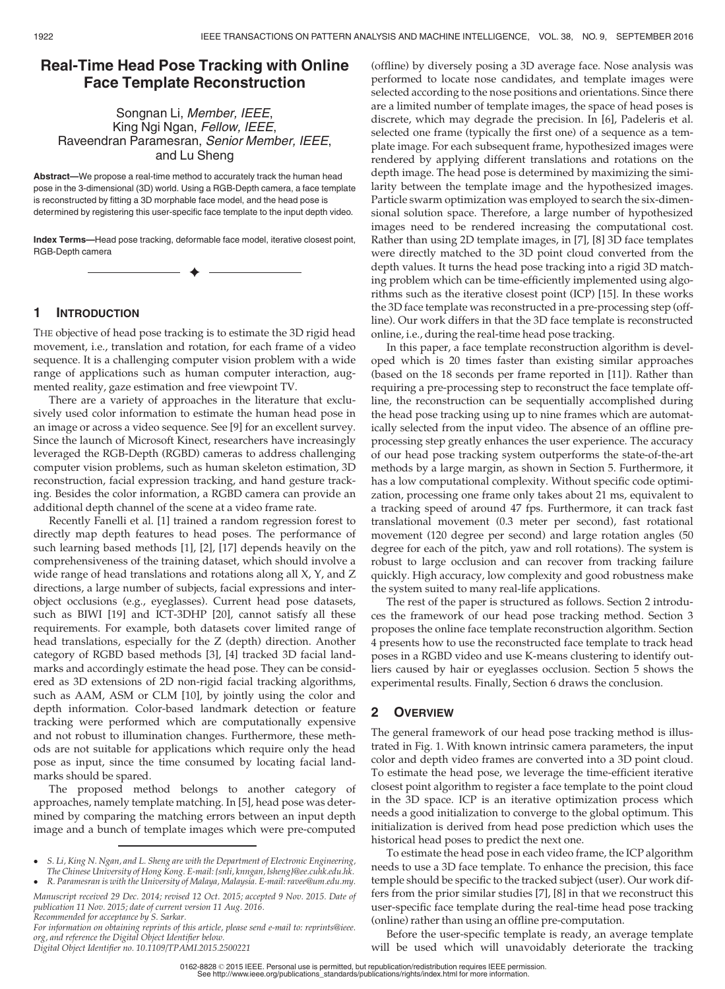# Real-Time Head Pose Tracking with Online Face Template Reconstruction

## Songnan Li, Member, IEEE, King Ngi Ngan, Fellow, IEEE, Raveendran Paramesran, Senior Member, IEEE, and Lu Sheng

Abstract—We propose a real-time method to accurately track the human head pose in the 3-dimensional (3D) world. Using a RGB-Depth camera, a face template is reconstructed by fitting a 3D morphable face model, and the head pose is determined by registering this user-specific face template to the input depth video.

Index Terms—Head pose tracking, deformable face model, iterative closest point, RGB-Depth camera

 $\blacklozenge$ 

## 1 INTRODUCTION

THE objective of head pose tracking is to estimate the 3D rigid head movement, i.e., translation and rotation, for each frame of a video sequence. It is a challenging computer vision problem with a wide range of applications such as human computer interaction, augmented reality, gaze estimation and free viewpoint TV.

There are a variety of approaches in the literature that exclusively used color information to estimate the human head pose in an image or across a video sequence. See [9] for an excellent survey. Since the launch of Microsoft Kinect, researchers have increasingly leveraged the RGB-Depth (RGBD) cameras to address challenging computer vision problems, such as human skeleton estimation, 3D reconstruction, facial expression tracking, and hand gesture tracking. Besides the color information, a RGBD camera can provide an additional depth channel of the scene at a video frame rate.

Recently Fanelli et al. [1] trained a random regression forest to directly map depth features to head poses. The performance of such learning based methods [1], [2], [17] depends heavily on the comprehensiveness of the training dataset, which should involve a wide range of head translations and rotations along all X, Y, and Z directions, a large number of subjects, facial expressions and interobject occlusions (e.g., eyeglasses). Current head pose datasets, such as BIWI [19] and ICT-3DHP [20], cannot satisfy all these requirements. For example, both datasets cover limited range of head translations, especially for the Z (depth) direction. Another category of RGBD based methods [3], [4] tracked 3D facial landmarks and accordingly estimate the head pose. They can be considered as 3D extensions of 2D non-rigid facial tracking algorithms, such as AAM, ASM or CLM [10], by jointly using the color and depth information. Color-based landmark detection or feature tracking were performed which are computationally expensive and not robust to illumination changes. Furthermore, these methods are not suitable for applications which require only the head pose as input, since the time consumed by locating facial landmarks should be spared.

The proposed method belongs to another category of approaches, namely template matching. In [5], head pose was determined by comparing the matching errors between an input depth image and a bunch of template images which were pre-computed

(offline) by diversely posing a 3D average face. Nose analysis was performed to locate nose candidates, and template images were selected according to the nose positions and orientations. Since there are a limited number of template images, the space of head poses is discrete, which may degrade the precision. In [6], Padeleris et al. selected one frame (typically the first one) of a sequence as a template image. For each subsequent frame, hypothesized images were rendered by applying different translations and rotations on the depth image. The head pose is determined by maximizing the similarity between the template image and the hypothesized images. Particle swarm optimization was employed to search the six-dimensional solution space. Therefore, a large number of hypothesized images need to be rendered increasing the computational cost. Rather than using 2D template images, in [7], [8] 3D face templates were directly matched to the 3D point cloud converted from the depth values. It turns the head pose tracking into a rigid 3D matching problem which can be time-efficiently implemented using algorithms such as the iterative closest point (ICP) [15]. In these works the 3D face template was reconstructed in a pre-processing step (offline). Our work differs in that the 3D face template is reconstructed online, i.e., during the real-time head pose tracking.

In this paper, a face template reconstruction algorithm is developed which is 20 times faster than existing similar approaches (based on the 18 seconds per frame reported in [11]). Rather than requiring a pre-processing step to reconstruct the face template offline, the reconstruction can be sequentially accomplished during the head pose tracking using up to nine frames which are automatically selected from the input video. The absence of an offline preprocessing step greatly enhances the user experience. The accuracy of our head pose tracking system outperforms the state-of-the-art methods by a large margin, as shown in Section 5. Furthermore, it has a low computational complexity. Without specific code optimization, processing one frame only takes about 21 ms, equivalent to a tracking speed of around 47 fps. Furthermore, it can track fast translational movement (0.3 meter per second), fast rotational movement (120 degree per second) and large rotation angles (50 degree for each of the pitch, yaw and roll rotations). The system is robust to large occlusion and can recover from tracking failure quickly. High accuracy, low complexity and good robustness make the system suited to many real-life applications.

The rest of the paper is structured as follows. Section 2 introduces the framework of our head pose tracking method. Section 3 proposes the online face template reconstruction algorithm. Section 4 presents how to use the reconstructed face template to track head poses in a RGBD video and use K-means clustering to identify outliers caused by hair or eyeglasses occlusion. Section 5 shows the experimental results. Finally, Section 6 draws the conclusion.

## 2 OVERVIEW

The general framework of our head pose tracking method is illustrated in Fig. 1. With known intrinsic camera parameters, the input color and depth video frames are converted into a 3D point cloud. To estimate the head pose, we leverage the time-efficient iterative closest point algorithm to register a face template to the point cloud in the 3D space. ICP is an iterative optimization process which needs a good initialization to converge to the global optimum. This initialization is derived from head pose prediction which uses the historical head poses to predict the next one.

To estimate the head pose in each video frame, the ICP algorithm needs to use a 3D face template. To enhance the precision, this face temple should be specific to the tracked subject (user). Our work differs from the prior similar studies [7], [8] in that we reconstruct this user-specific face template during the real-time head pose tracking (online) rather than using an offline pre-computation.

Before the user-specific template is ready, an average template will be used which will unavoidably deteriorate the tracking

0162-8828 2015 IEEE. Personal use is permitted, but republication/redistribution requires IEEE permission. See http://www.ieee.org/publications\_standards/publications/rights/index.html for more information

<sup>-</sup> S. Li, King N. Ngan, and L. Sheng are with the Department of Electronic Engineering,<br>The Chinese University of Hong Kong. E-mail: [{snli, knngan, lsheng}@ee.cuhk.edu.hk](mailto:).<br>- R. Paramesran is with the University of Malaya, M

Manuscript received 29 Dec. 2014; revised 12 Oct. 2015; accepted 9 Nov. 2015. Date of publication 11 Nov. 2015; date of current version 11 Aug. 2016.

Recommended for acceptance by S. Sarkar.<br>For information on obtaining reprints of this article, please send e-mail to: reprints@ieee.<br>org, and reference the Digital Object Identifier below.<br>Digital Object Identifier no. 10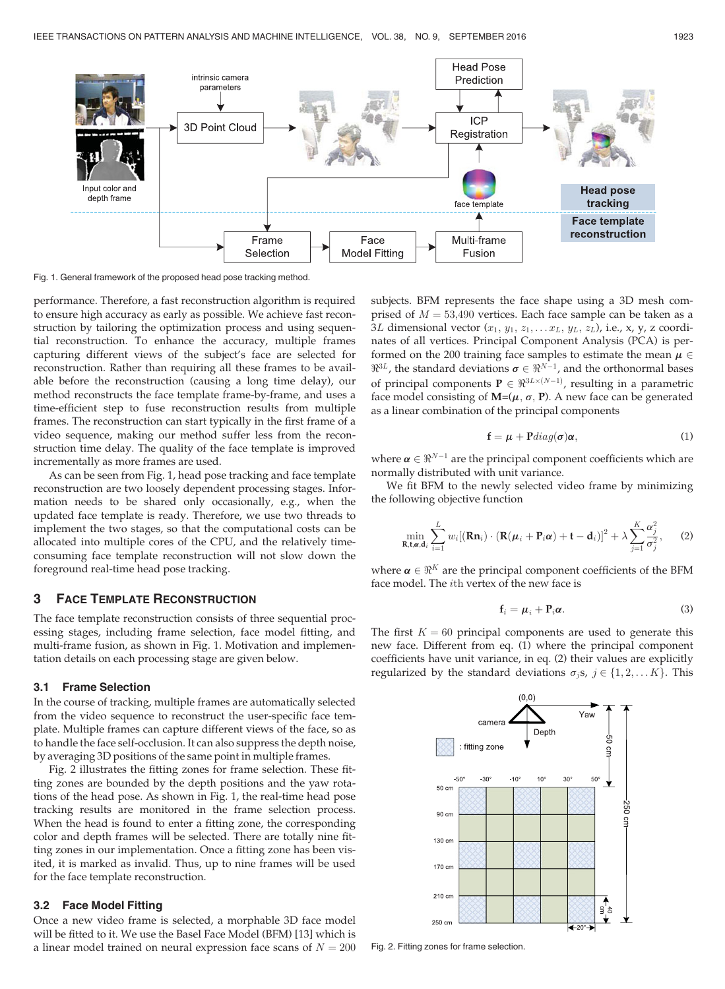

Fig. 1. General framework of the proposed head pose tracking method.

performance. Therefore, a fast reconstruction algorithm is required to ensure high accuracy as early as possible. We achieve fast reconstruction by tailoring the optimization process and using sequential reconstruction. To enhance the accuracy, multiple frames capturing different views of the subject's face are selected for reconstruction. Rather than requiring all these frames to be available before the reconstruction (causing a long time delay), our method reconstructs the face template frame-by-frame, and uses a time-efficient step to fuse reconstruction results from multiple frames. The reconstruction can start typically in the first frame of a video sequence, making our method suffer less from the reconstruction time delay. The quality of the face template is improved incrementally as more frames are used.

As can be seen from Fig. 1, head pose tracking and face template reconstruction are two loosely dependent processing stages. Information needs to be shared only occasionally, e.g., when the updated face template is ready. Therefore, we use two threads to implement the two stages, so that the computational costs can be allocated into multiple cores of the CPU, and the relatively timeconsuming face template reconstruction will not slow down the foreground real-time head pose tracking.

## 3 FACE TEMPLATE RECONSTRUCTION

The face template reconstruction consists of three sequential processing stages, including frame selection, face model fitting, and multi-frame fusion, as shown in Fig. 1. Motivation and implementation details on each processing stage are given below.

### 3.1 Frame Selection

In the course of tracking, multiple frames are automatically selected from the video sequence to reconstruct the user-specific face template. Multiple frames can capture different views of the face, so as to handle the face self-occlusion. It can also suppress the depth noise, by averaging 3D positions of the same point in multiple frames.

Fig. 2 illustrates the fitting zones for frame selection. These fitting zones are bounded by the depth positions and the yaw rotations of the head pose. As shown in Fig. 1, the real-time head pose tracking results are monitored in the frame selection process. When the head is found to enter a fitting zone, the corresponding color and depth frames will be selected. There are totally nine fitting zones in our implementation. Once a fitting zone has been visited, it is marked as invalid. Thus, up to nine frames will be used for the face template reconstruction.

#### 3.2 Face Model Fitting

Once a new video frame is selected, a morphable 3D face model will be fitted to it. We use the Basel Face Model (BFM) [13] which is a linear model trained on neural expression face scans of  $N = 200$ 

subjects. BFM represents the face shape using a 3D mesh comprised of  $M = 53,490$  vertices. Each face sample can be taken as a 3L dimensional vector  $(x_1, y_1, z_1, \ldots x_L, y_L, z_L)$ , i.e., x, y, z coordinates of all vertices. Principal Component Analysis (PCA) is performed on the 200 training face samples to estimate the mean  $\mu \in \mathbb{R}^{3L}$  the standard deviations  $\sigma \in \mathbb{R}^{N-1}$  and the orthonormal bases  $\mathbb{R}^{3L}$ , the standard deviations  $\sigma \in \mathbb{R}^{N-1}$ , and the orthonormal bases<br>of principal companents  $\mathbf{P} \subset \mathbb{R}^{3L \times (N-1)}$ , resulting in a parametric of principal components  $P \in \mathbb{R}^{3L \times (N-1)}$ , resulting in a parametric<br>face model consisting of  $M-(\mu, \sigma, P)$ . A new face can be generated face model consisting of  $M=(\mu, \sigma, P)$ . A new face can be generated as a linear combination of the principal components

$$
\mathbf{f} = \boldsymbol{\mu} + \mathbf{P} diag(\boldsymbol{\sigma}) \boldsymbol{\alpha}, \tag{1}
$$

where  $\boldsymbol{\alpha} \in \Re^{N-1}$  are the principal component coefficients which are normally distributed with unit variance.

We fit BFM to the newly selected video frame by minimizing the following objective function

$$
\min_{\mathbf{R},\mathbf{t},\mathbf{\alpha},\mathbf{d}_i} \sum_{i=1}^L w_i [(\mathbf{R}\mathbf{n}_i) \cdot (\mathbf{R}(\boldsymbol{\mu}_i + \mathbf{P}_i \boldsymbol{\alpha}) + \mathbf{t} - \mathbf{d}_i)]^2 + \lambda \sum_{j=1}^K \frac{\alpha_j^2}{\sigma_j^2},\qquad(2)
$$

where  $\alpha \in \mathbb{R}^K$  are the principal component coefficients of the BFM face model. The ith vertex of the new face is

$$
\mathbf{f}_i = \boldsymbol{\mu}_i + \mathbf{P}_i \boldsymbol{\alpha}.\tag{3}
$$

The first  $K = 60$  principal components are used to generate this new face. Different from eq. (1) where the principal component coefficients have unit variance, in eq. (2) their values are explicitly regularized by the standard deviations  $\sigma_j s, j \in \{1, 2, \dots K\}$ . This



Fig. 2. Fitting zones for frame selection.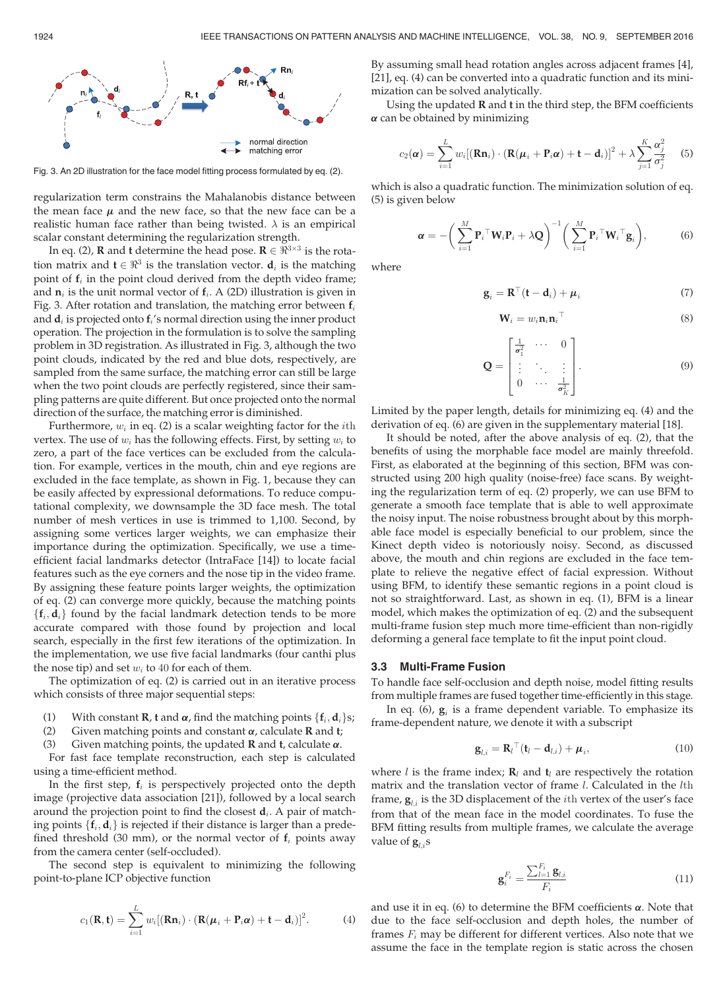

Fig. 3. An 2D illustration for the face model fitting process formulated by eq. (2).

regularization term constrains the Mahalanobis distance between the mean face  $\mu$  and the new face, so that the new face can be a the mean face  $\mu$  and the new face, so that the new face can be a<br>realistic human face rather than being twisted.  $\lambda$  is an empirical scalar constant determining the regularization strength.

In eq. (2), **R** and **t** determine the head pose. **R**  $\in \mathbb{R}^{3 \times 3}$  is the rotation matrix and  $\mathbf{t} \in \mathbb{R}^3$  is the translation vector.  $\mathbf{d}_i$  is the matching point of  $f_i$  in the point cloud derived from the depth video frame; and  $n_i$  is the unit normal vector of  $f_i$ . A (2D) illustration is given in Fig. 3. After rotation and translation, the matching error between  $f_i$ and  $\mathbf{d}_i$  is projected onto  $\mathbf{f}_i$ 's normal direction using the inner product operation. The projection in the formulation is to solve the sampling problem in 3D registration. As illustrated in Fig. 3, although the two point clouds, indicated by the red and blue dots, respectively, are sampled from the same surface, the matching error can still be large when the two point clouds are perfectly registered, since their sampling patterns are quite different. But once projected onto the normal direction of the surface, the matching error is diminished.

Furthermore,  $w_i$  in eq. (2) is a scalar weighting factor for the *i*th vertex. The use of  $w_i$  has the following effects. First, by setting  $w_i$  to zero, a part of the face vertices can be excluded from the calculation. For example, vertices in the mouth, chin and eye regions are excluded in the face template, as shown in Fig. 1, because they can be easily affected by expressional deformations. To reduce computational complexity, we downsample the 3D face mesh. The total number of mesh vertices in use is trimmed to 1,100. Second, by assigning some vertices larger weights, we can emphasize their importance during the optimization. Specifically, we use a timeefficient facial landmarks detector (IntraFace [14]) to locate facial features such as the eye corners and the nose tip in the video frame. By assigning these feature points larger weights, the optimization of eq. (2) can converge more quickly, because the matching points  $\{f_i, d_i\}$  found by the facial landmark detection tends to be more accurate compared with those found by projection and local search, especially in the first few iterations of the optimization. In the implementation, we use five facial landmarks (four canthi plus the nose tip) and set  $w_i$  to 40 for each of them.

The optimization of eq. (2) is carried out in an iterative process which consists of three major sequential steps:

- (1) With constant **R**, **t** and  $\alpha$ , find the matching points { $f_i$ ,  $d_i$ }s;<br>(2) Given matching points and constant  $\alpha$ , calculate **R** and **t**;
- (2) Given matching points and constant  $\alpha$ , calculate **R** and **t**; (3) Given matching points, the updated **R** and **t**, calculate  $\alpha$ .
- Given matching points, the updated **R** and **t**, calculate  $\alpha$ .

For fast face template reconstruction, each step is calculated using a time-efficient method.

In the first step,  $f_i$  is perspectively projected onto the depth image (projective data association [21]), followed by a local search around the projection point to find the closest  $d_i$ . A pair of matching points  $\{f_i, d_i\}$  is rejected if their distance is larger than a predefined threshold (30 mm), or the normal vector of  $f_i$  points away from the camera center (self-occluded).

The second step is equivalent to minimizing the following point-to-plane ICP objective function

$$
c_1(\mathbf{R}, \mathbf{t}) = \sum_{i=1}^{L} w_i [(\mathbf{R} \mathbf{n}_i) \cdot (\mathbf{R}(\boldsymbol{\mu}_i + \mathbf{P}_i \boldsymbol{\alpha}) + \mathbf{t} - \mathbf{d}_i)]^2.
$$
 (4)

By assuming small head rotation angles across adjacent frames [4], [21], eq. (4) can be converted into a quadratic function and its minimization can be solved analytically.

Using the updated  $R$  and  $t$  in the third step, the BFM coefficients  $\alpha$  can be obtained by minimizing

$$
c_2(\boldsymbol{\alpha}) = \sum_{i=1}^{L} w_i \left[ (\mathbf{R} \mathbf{n}_i) \cdot (\mathbf{R}(\boldsymbol{\mu}_i + \mathbf{P}_i \boldsymbol{\alpha}) + \mathbf{t} - \mathbf{d}_i) \right]^2 + \lambda \sum_{j=1}^{K} \frac{\alpha_j^2}{\sigma_j^2}
$$
(5)

which is also a quadratic function. The minimization solution of eq. (5) is given below

$$
\boldsymbol{\alpha} = -\bigg(\sum_{i=1}^{M} \mathbf{P}_{i}^{\top} \mathbf{W}_{i} \mathbf{P}_{i} + \lambda \mathbf{Q}\bigg)^{-1} \bigg(\sum_{i=1}^{M} \mathbf{P}_{i}^{\top} \mathbf{W}_{i}^{\top} \mathbf{g}_{i}\bigg), \qquad (6)
$$

where

$$
\mathbf{g}_i = \mathbf{R}^\top (\mathbf{t} - \mathbf{d}_i) + \boldsymbol{\mu}_i \tag{7}
$$

$$
\mathbf{W}_i = w_i \mathbf{n}_i \mathbf{n}_i^\top \tag{8}
$$

$$
\mathbf{Q} = \begin{bmatrix} \frac{1}{\sigma_1^2} & \cdots & 0\\ \vdots & \ddots & \vdots\\ 0 & \cdots & \frac{1}{\sigma_K^2} \end{bmatrix} . \tag{9}
$$

Limited by the paper length, details for minimizing eq. (4) and the derivation of eq. (6) are given in the supplementary material [18].

It should be noted, after the above analysis of eq. (2), that the benefits of using the morphable face model are mainly threefold. First, as elaborated at the beginning of this section, BFM was constructed using 200 high quality (noise-free) face scans. By weighting the regularization term of eq. (2) properly, we can use BFM to generate a smooth face template that is able to well approximate the noisy input. The noise robustness brought about by this morphable face model is especially beneficial to our problem, since the Kinect depth video is notoriously noisy. Second, as discussed above, the mouth and chin regions are excluded in the face template to relieve the negative effect of facial expression. Without using BFM, to identify these semantic regions in a point cloud is not so straightforward. Last, as shown in eq. (1), BFM is a linear model, which makes the optimization of eq. (2) and the subsequent multi-frame fusion step much more time-efficient than non-rigidly deforming a general face template to fit the input point cloud.

#### 3.3 Multi-Frame Fusion

To handle face self-occlusion and depth noise, model fitting results from multiple frames are fused together time-efficiently in this stage.

In eq. (6),  $\mathbf{g}_i$  is a frame dependent variable. To emphasize its frame-dependent nature, we denote it with a subscript

$$
\mathbf{g}_{l,i} = \mathbf{R}_l^{\top} (\mathbf{t}_l - \mathbf{d}_{l,i}) + \boldsymbol{\mu}_i, \tag{10}
$$

where *l* is the frame index;  $\mathbf{R}_l$  and  $\mathbf{t}_l$  are respectively the rotation matrix and the translation vector of frame *l*. Calculated in the *l*th frame,  $\mathbf{g}_{l,i}$  is the 3D displacement of the *i*th vertex of the user's face from that of the mean face in the model coordinates. To fuse the BFM fitting results from multiple frames, we calculate the average value of  $\mathbf{g}_{i,i}$ s

$$
\mathbf{g}_i^{F_i} = \frac{\sum_{l=1}^{F_i} \mathbf{g}_{l,i}}{F_i} \tag{11}
$$

and use it in eq. (6) to determine the BFM coefficients  $\alpha$ . Note that due to the face self-occlusion and depth holes, the number of frames  $F_i$  may be different for different vertices. Also note that we assume the face in the template region is static across the chosen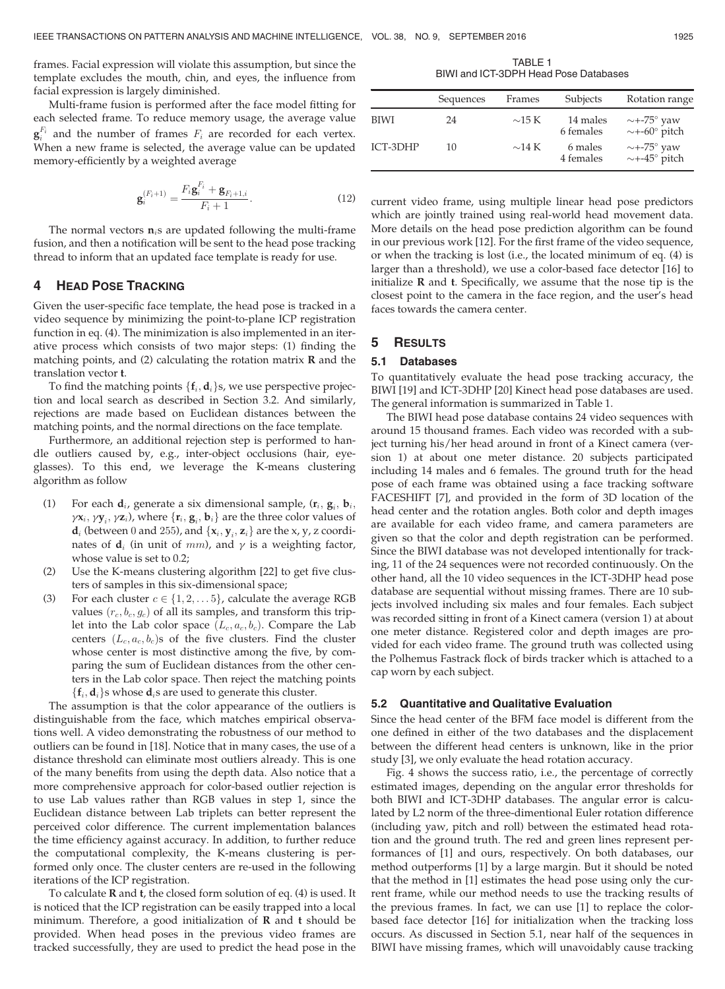frames. Facial expression will violate this assumption, but since the template excludes the mouth, chin, and eyes, the influence from facial expression is largely diminished.

Multi-frame fusion is performed after the face model fitting for each selected frame. To reduce memory usage, the average value  $\mathbf{g}_i^{F_i}$  and the number of frames  $F_i$  are recorded for each vertex. When a new frame is selected, the average value can be updated memory-efficiently by a weighted average

$$
\mathbf{g}_{i}^{(F_{i}+1)} = \frac{F_{i}\mathbf{g}_{i}^{F_{i}} + \mathbf{g}_{F_{i}+1,i}}{F_{i}+1}.
$$
 (12)

The normal vectors  $n_i$ s are updated following the multi-frame fusion, and then a notification will be sent to the head pose tracking thread to inform that an updated face template is ready for use.

## 4 HEAD POSE TRACKING

Given the user-specific face template, the head pose is tracked in a video sequence by minimizing the point-to-plane ICP registration function in eq. (4). The minimization is also implemented in an iterative process which consists of two major steps: (1) finding the matching points, and  $(2)$  calculating the rotation matrix **R** and the translation vector t.

To find the matching points  $\{f_i, d_i\}$ s, we use perspective projection and local search as described in Section 3.2. And similarly, rejections are made based on Euclidean distances between the matching points, and the normal directions on the face template.

Furthermore, an additional rejection step is performed to handle outliers caused by, e.g., inter-object occlusions (hair, eyeglasses). To this end, we leverage the K-means clustering algorithm as follow

- (1) For each  $\mathbf{d}_i$ , generate a six dimensional sample,  $(\mathbf{r}_i, \mathbf{g}_i, \mathbf{b}_i)$  $\gamma \mathbf{x}_i, \gamma \mathbf{y}_i, \gamma \mathbf{z}_i$ ), where  $\{\mathbf{r}_i, \mathbf{g}_i, \mathbf{b}_i\}$  are the three color values of  $\mathbf{d}_i$  (botwoon 0 and 255), and  $\{\mathbf{x}_i, \mathbf{y}_i, \mathbf{z}_i\}$  are the x- y-z coordi- $\mathbf{d}_i$  (between 0 and 255), and  $\{x_i, y_i, z_i\}$  are the x, y, z coordinates of  $\mathbf{d}_i$  (in unit of mm), and  $\gamma$  is a weighting factor, whose value is set to 0.2;
- (2) Use the K-means clustering algorithm [22] to get five clusters of samples in this six-dimensional space;
- (3) For each cluster  $c \in \{1, 2, \ldots, 5\}$ , calculate the average RGB values  $(r_c, b_c, g_c)$  of all its samples, and transform this triplet into the Lab color space  $(L_c, a_c, b_c)$ . Compare the Lab centers  $(L_c, a_c, b_c)$ s of the five clusters. Find the cluster whose center is most distinctive among the five, by comparing the sum of Euclidean distances from the other centers in the Lab color space. Then reject the matching points  ${f_i, d_i}$ s whose  $d_i$ s are used to generate this cluster.

The assumption is that the color appearance of the outliers is distinguishable from the face, which matches empirical observations well. A video demonstrating the robustness of our method to outliers can be found in [18]. Notice that in many cases, the use of a distance threshold can eliminate most outliers already. This is one of the many benefits from using the depth data. Also notice that a more comprehensive approach for color-based outlier rejection is to use Lab values rather than RGB values in step 1, since the Euclidean distance between Lab triplets can better represent the perceived color difference. The current implementation balances the time efficiency against accuracy. In addition, to further reduce the computational complexity, the K-means clustering is performed only once. The cluster centers are re-used in the following iterations of the ICP registration.

To calculate  **and**  $**t**$ **, the closed form solution of eq. (4) is used. It** is noticed that the ICP registration can be easily trapped into a local minimum. Therefore, a good initialization of  $R$  and  $t$  should be provided. When head poses in the previous video frames are tracked successfully, they are used to predict the head pose in the

TABLE 1 BIWI and ICT-3DPH Head Pose Databases

|             | Sequences | Frames      | Subjects              | Rotation range                                             |
|-------------|-----------|-------------|-----------------------|------------------------------------------------------------|
| <b>BIWI</b> | 24        | $\sim$ 15 K | 14 males<br>6 females | $\sim$ +-75 $^{\circ}$ yaw<br>$\sim$ +-60 $^{\circ}$ pitch |
| ICT-3DHP    | 10        | $\sim$ 14 K | 6 males<br>4 females  | $\sim$ +-75 $\degree$ yaw<br>$\sim$ +-45 $^{\circ}$ pitch  |

current video frame, using multiple linear head pose predictors which are jointly trained using real-world head movement data. More details on the head pose prediction algorithm can be found in our previous work [12]. For the first frame of the video sequence, or when the tracking is lost (i.e., the located minimum of eq. (4) is larger than a threshold), we use a color-based face detector [16] to initialize  $R$  and  $t$ . Specifically, we assume that the nose tip is the closest point to the camera in the face region, and the user's head faces towards the camera center.

## 5 RESULTS

### 5.1 Databases

To quantitatively evaluate the head pose tracking accuracy, the BIWI [19] and ICT-3DHP [20] Kinect head pose databases are used. The general information is summarized in Table 1.

The BIWI head pose database contains 24 video sequences with around 15 thousand frames. Each video was recorded with a subject turning his/her head around in front of a Kinect camera (version 1) at about one meter distance. 20 subjects participated including 14 males and 6 females. The ground truth for the head pose of each frame was obtained using a face tracking software FACESHIFT [7], and provided in the form of 3D location of the head center and the rotation angles. Both color and depth images are available for each video frame, and camera parameters are given so that the color and depth registration can be performed. Since the BIWI database was not developed intentionally for tracking, 11 of the 24 sequences were not recorded continuously. On the other hand, all the 10 video sequences in the ICT-3DHP head pose database are sequential without missing frames. There are 10 subjects involved including six males and four females. Each subject was recorded sitting in front of a Kinect camera (version 1) at about one meter distance. Registered color and depth images are provided for each video frame. The ground truth was collected using the Polhemus Fastrack flock of birds tracker which is attached to a cap worn by each subject.

#### 5.2 Quantitative and Qualitative Evaluation

Since the head center of the BFM face model is different from the one defined in either of the two databases and the displacement between the different head centers is unknown, like in the prior study [3], we only evaluate the head rotation accuracy.

Fig. 4 shows the success ratio, i.e., the percentage of correctly estimated images, depending on the angular error thresholds for both BIWI and ICT-3DHP databases. The angular error is calculated by L2 norm of the three-dimentional Euler rotation difference (including yaw, pitch and roll) between the estimated head rotation and the ground truth. The red and green lines represent performances of [1] and ours, respectively. On both databases, our method outperforms [1] by a large margin. But it should be noted that the method in [1] estimates the head pose using only the current frame, while our method needs to use the tracking results of the previous frames. In fact, we can use [1] to replace the colorbased face detector [16] for initialization when the tracking loss occurs. As discussed in Section 5.1, near half of the sequences in BIWI have missing frames, which will unavoidably cause tracking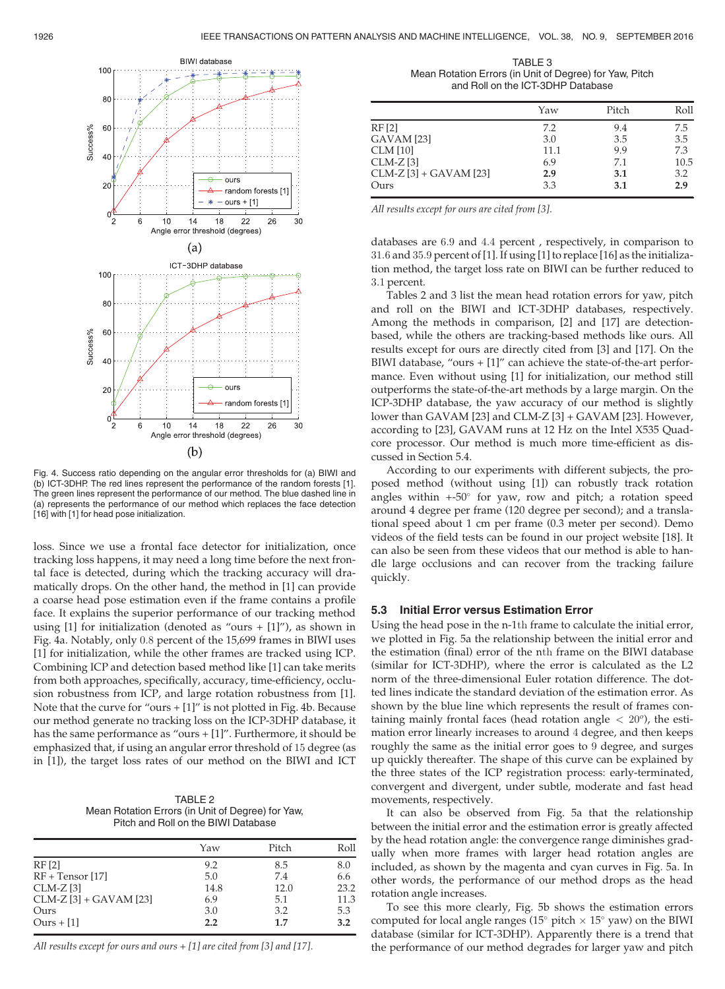

Fig. 4. Success ratio depending on the angular error thresholds for (a) BIWI and (b) ICT-3DHP. The red lines represent the performance of the random forests [1]. The green lines represent the performance of our method. The blue dashed line in (a) represents the performance of our method which replaces the face detection [16] with [1] for head pose initialization.

loss. Since we use a frontal face detector for initialization, once tracking loss happens, it may need a long time before the next frontal face is detected, during which the tracking accuracy will dramatically drops. On the other hand, the method in [1] can provide a coarse head pose estimation even if the frame contains a profile face. It explains the superior performance of our tracking method using  $[1]$  for initialization (denoted as "ours +  $[1]$ "), as shown in Fig. 4a. Notably, only 0:8 percent of the 15,699 frames in BIWI uses [1] for initialization, while the other frames are tracked using ICP. Combining ICP and detection based method like [1] can take merits from both approaches, specifically, accuracy, time-efficiency, occlusion robustness from ICP, and large rotation robustness from [1]. Note that the curve for "ours + [1]" is not plotted in Fig. 4b. Because our method generate no tracking loss on the ICP-3DHP database, it has the same performance as "ours + [1]". Furthermore, it should be emphasized that, if using an angular error threshold of 15 degree (as in [1]), the target loss rates of our method on the BIWI and ICT

TABLE 2 Mean Rotation Errors (in Unit of Degree) for Yaw, Pitch and Roll on the BIWI Database

|                          | Yaw  | Pitch | Roll |
|--------------------------|------|-------|------|
| RF <sub>[2]</sub>        | 9.2  | 8.5   | 8.0  |
| $RF + Tensor [17]$       | 5.0  | 7.4   | 6.6  |
| $CLM-Z$ [3]              | 14.8 | 12.0  | 23.2 |
| $CLM-Z$ [3] + GAVAM [23] | 6.9  | 5.1   | 11.3 |
| Ours                     | 3.0  | 3.2   | 5.3  |
| $Ours + [1]$             | 2.2  | 1.7   | 3.2  |

All results except for ours and ours + [1] are cited from [3] and [17].

TABLE 3 Mean Rotation Errors (in Unit of Degree) for Yaw, Pitch and Roll on the ICT-3DHP Database

|                          | Yaw  | Pitch | Roll |
|--------------------------|------|-------|------|
| RF <sub>[2]</sub>        | 7.2  | 9.4   | 7.5  |
| GAVAM [23]               | 3.0  | 3.5   | 3.5  |
| <b>CLM</b> [10]          | 11.1 | 9.9   | 7.3  |
| $CLM-Z$ [3]              | 6.9  | 7.1   | 10.5 |
| $CLM-Z$ [3] + GAVAM [23] | 2.9  | 3.1   | 3.2  |
| Ours                     | 3.3  | 3.1   | 2.9  |

All results except for ours are cited from [3].

databases are 6:9 and 4:4 percent , respectively, in comparison to 31:6 and 35:9 percent of [1]. If using [1] to replace [16] as the initialization method, the target loss rate on BIWI can be further reduced to 3:1 percent.

Tables 2 and 3 list the mean head rotation errors for yaw, pitch and roll on the BIWI and ICT-3DHP databases, respectively. Among the methods in comparison, [2] and [17] are detectionbased, while the others are tracking-based methods like ours. All results except for ours are directly cited from [3] and [17]. On the BIWI database, "ours + [1]" can achieve the state-of-the-art performance. Even without using [1] for initialization, our method still outperforms the state-of-the-art methods by a large margin. On the ICP-3DHP database, the yaw accuracy of our method is slightly lower than GAVAM [23] and CLM-Z [3] + GAVAM [23]. However, according to [23], GAVAM runs at 12 Hz on the Intel X535 Quadcore processor. Our method is much more time-efficient as discussed in Section 5.4.

According to our experiments with different subjects, the proposed method (without using [1]) can robustly track rotation angles within  $+50^{\circ}$  for yaw, row and pitch; a rotation speed around 4 degree per frame (120 degree per second); and a translational speed about 1 cm per frame (0.3 meter per second). Demo videos of the field tests can be found in our project website [18]. It can also be seen from these videos that our method is able to handle large occlusions and can recover from the tracking failure quickly.

### 5.3 Initial Error versus Estimation Error

Using the head pose in the n-1th frame to calculate the initial error, we plotted in Fig. 5a the relationship between the initial error and the estimation (final) error of the nth frame on the BIWI database (similar for ICT-3DHP), where the error is calculated as the L2 norm of the three-dimensional Euler rotation difference. The dotted lines indicate the standard deviation of the estimation error. As shown by the blue line which represents the result of frames containing mainly frontal faces (head rotation angle  $\langle 20^\circ \rangle$ , the estimation error linearly increases to around 4 degree, and then keeps roughly the same as the initial error goes to 9 degree, and surges up quickly thereafter. The shape of this curve can be explained by the three states of the ICP registration process: early-terminated, convergent and divergent, under subtle, moderate and fast head movements, respectively.

It can also be observed from Fig. 5a that the relationship between the initial error and the estimation error is greatly affected by the head rotation angle: the convergence range diminishes gradually when more frames with larger head rotation angles are included, as shown by the magenta and cyan curves in Fig. 5a. In other words, the performance of our method drops as the head rotation angle increases.

To see this more clearly, Fig. 5b shows the estimation errors computed for local angle ranges (15 $\degree$  pitch  $\times$  15 $\degree$  yaw) on the BIWI database (similar for ICT-3DHP). Apparently there is a trend that the performance of our method degrades for larger yaw and pitch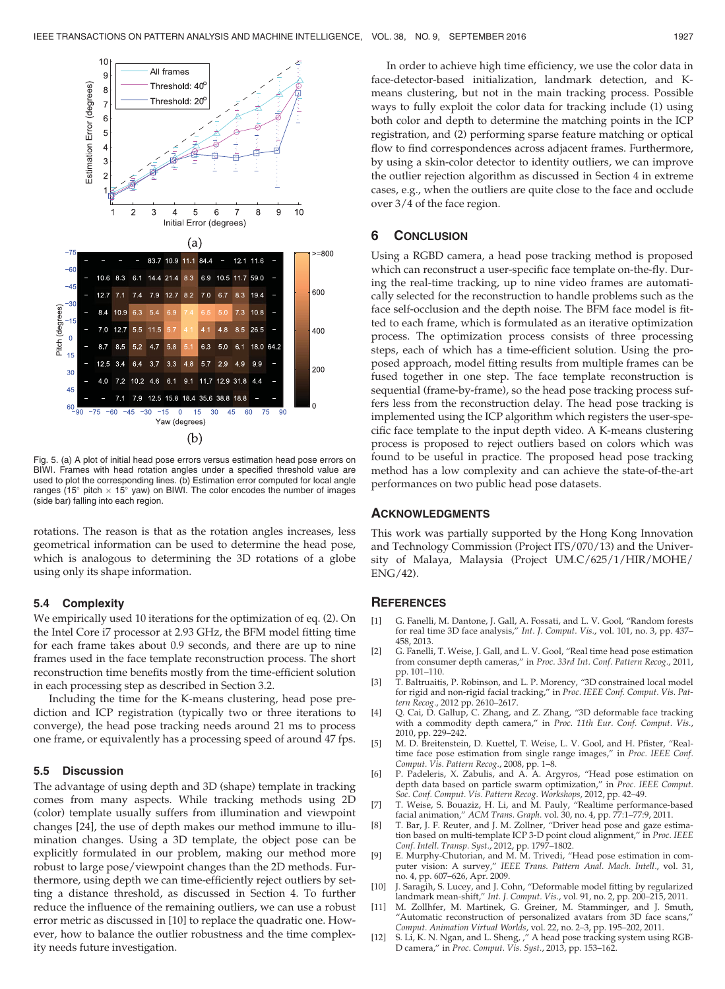

Fig. 5. (a) A plot of initial head pose errors versus estimation head pose errors on BIWI. Frames with head rotation angles under a specified threshold value are used to plot the corresponding lines. (b) Estimation error computed for local angle ranges (15 $\degree$  pitch  $\times$  15 $\degree$  yaw) on BIWI. The color encodes the number of images (side bar) falling into each region.

rotations. The reason is that as the rotation angles increases, less geometrical information can be used to determine the head pose, which is analogous to determining the 3D rotations of a globe using only its shape information.

### 5.4 Complexity

We empirically used 10 iterations for the optimization of eq. (2). On the Intel Core i7 processor at 2.93 GHz, the BFM model fitting time for each frame takes about 0.9 seconds, and there are up to nine frames used in the face template reconstruction process. The short reconstruction time benefits mostly from the time-efficient solution in each processing step as described in Section 3.2.

Including the time for the K-means clustering, head pose prediction and ICP registration (typically two or three iterations to converge), the head pose tracking needs around 21 ms to process one frame, or equivalently has a processing speed of around 47 fps.

#### 5.5 Discussion

The advantage of using depth and 3D (shape) template in tracking comes from many aspects. While tracking methods using 2D (color) template usually suffers from illumination and viewpoint changes [24], the use of depth makes our method immune to illumination changes. Using a 3D template, the object pose can be explicitly formulated in our problem, making our method more robust to large pose/viewpoint changes than the 2D methods. Furthermore, using depth we can time-efficiently reject outliers by setting a distance threshold, as discussed in Section 4. To further reduce the influence of the remaining outliers, we can use a robust error metric as discussed in [10] to replace the quadratic one. However, how to balance the outlier robustness and the time complexity needs future investigation.

In order to achieve high time efficiency, we use the color data in face-detector-based initialization, landmark detection, and Kmeans clustering, but not in the main tracking process. Possible ways to fully exploit the color data for tracking include (1) using both color and depth to determine the matching points in the ICP registration, and (2) performing sparse feature matching or optical flow to find correspondences across adjacent frames. Furthermore, by using a skin-color detector to identity outliers, we can improve the outlier rejection algorithm as discussed in Section 4 in extreme cases, e.g., when the outliers are quite close to the face and occlude over 3/4 of the face region.

## 6 CONCLUSION

Using a RGBD camera, a head pose tracking method is proposed which can reconstruct a user-specific face template on-the-fly. During the real-time tracking, up to nine video frames are automatically selected for the reconstruction to handle problems such as the face self-occlusion and the depth noise. The BFM face model is fitted to each frame, which is formulated as an iterative optimization process. The optimization process consists of three processing steps, each of which has a time-efficient solution. Using the proposed approach, model fitting results from multiple frames can be fused together in one step. The face template reconstruction is sequential (frame-by-frame), so the head pose tracking process suffers less from the reconstruction delay. The head pose tracking is implemented using the ICP algorithm which registers the user-specific face template to the input depth video. A K-means clustering process is proposed to reject outliers based on colors which was found to be useful in practice. The proposed head pose tracking method has a low complexity and can achieve the state-of-the-art performances on two public head pose datasets.

## ACKNOWLEDGMENTS

This work was partially supported by the Hong Kong Innovation and Technology Commission (Project ITS/070/13) and the University of Malaya, Malaysia (Project UM.C/625/1/HIR/MOHE/ ENG/42).

## **REFERENCES**

- [1] G. Fanelli, M. Dantone, J. Gall, A. Fossati, and L. V. Gool, "Random forests for real time 3D face analysis," Int. J. Comput. Vis., vol. 101, no. 3, pp. 437– 458, 2013.
- [2] G. Fanelli, T. Weise, J. Gall, and L. V. Gool, "Real time head pose estimation from consumer depth cameras," in Proc. 33rd Int. Conf. Pattern Recog., 2011, pp. 101–110.
- [3] T. Baltruaitis, P. Robinson, and L. P. Morency, "3D constrained local model for rigid and non-rigid facial tracking," in Proc. IEEE Conf. Comput. Vis. Pattern Recog., 2012 pp. 2610–2617.
- [4] Q. Cai, D. Gallup, C. Zhang, and Z. Zhang, "3D deformable face tracking with a commodity depth camera," in Proc. 11th Eur. Conf. Comput. Vis., 2010, pp. 229–242.
- [5] M. D. Breitenstein, D. Kuettel, T. Weise, L. V. Gool, and H. Pfister, "Realtime face pose estimation from single range images," in Proc. IEEE Conf. Comput. Vis. Pattern Recog., 2008, pp. 1–8.
- [6] P. Padeleris, X. Zabulis, and A. A. Argyros, "Head pose estimation on depth data based on particle swarm optimization," in Proc. IEEE Comput. Soc. Conf. Comput. Vis. Pattern Recog. Workshops, 2012, pp. 42–49.
- [7] T. Weise, S. Bouaziz, H. Li, and M. Pauly, "Realtime performance-based facial animation," ACM Trans. Graph. vol. 30, no. 4, pp. 77:1–77:9, 2011.
- [8] T. Bar, J. F. Reuter, and J. M. Zollner, "Driver head pose and gaze estima-tion based on multi-template ICP 3-D point cloud alignment," in Proc. IEEE Conf. Intell. Transp. Syst., 2012, pp. 1797–1802.
- [9] E. Murphy-Chutorian, and M. M. Trivedi, "Head pose estimation in computer vision: A survey," IEEE Trans. Pattern Anal. Mach. Intell., vol. 31, no. 4, pp. 607–626, Apr. 2009.
- [10] J. Saragih, S. Lucey, and J. Cohn, "Deformable model fitting by regularized landmark mean-shift," Int. J. Comput. Vis., vol. 91, no. 2, pp. 200–215, 2011.
- [11] M. Zollhfer, M. Martinek, G. Greiner, M. Stamminger, and J. Smuth, "Automatic reconstruction of personalized avatars from 3D face scans," Comput. Animation Virtual Worlds, vol. 22, no. 2–3, pp. 195–202, 2011.
- [12] S. Li, K. N. Ngan, and L. Sheng, ," A head pose tracking system using RGB-D camera," in Proc. Comput. Vis. Syst., 2013, pp. 153–162.